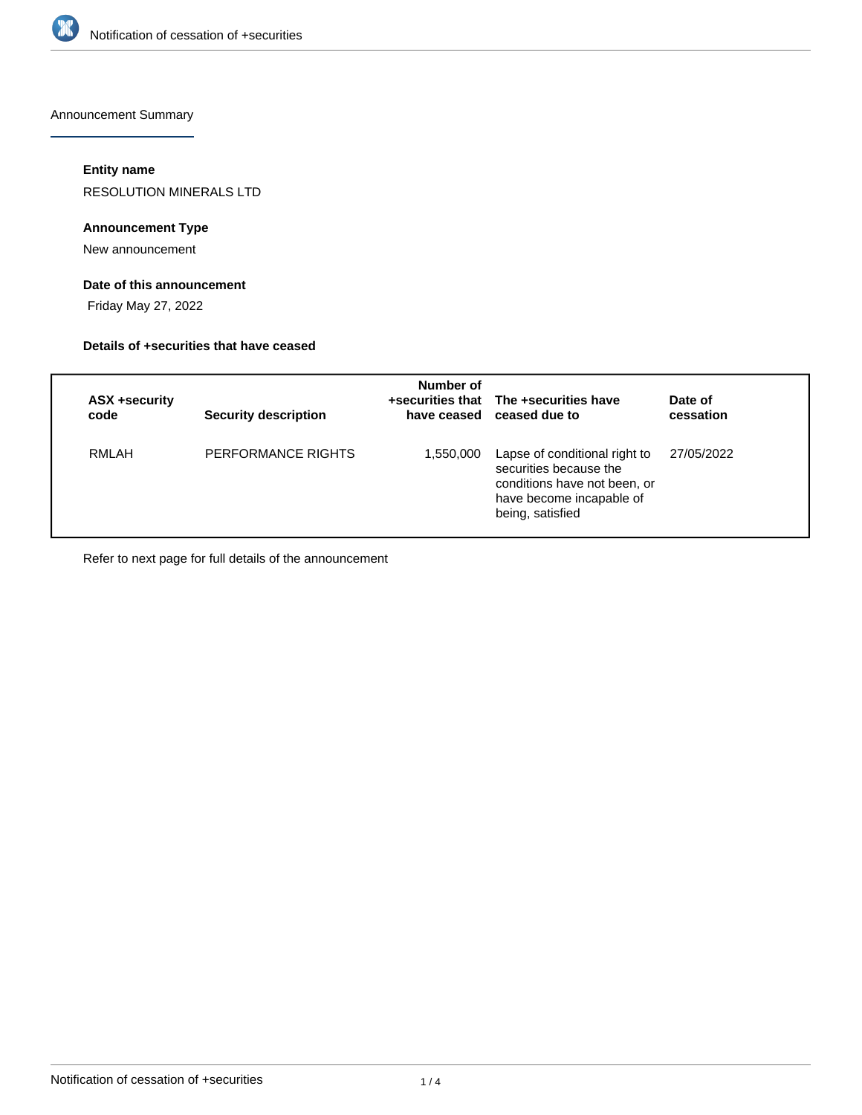

Announcement Summary

### **Entity name**

RESOLUTION MINERALS LTD

## **Announcement Type**

New announcement

# **Date of this announcement**

Friday May 27, 2022

#### **Details of +securities that have ceased**

| ASX +security<br>code | <b>Security description</b> | Number of | +securities that The +securities have<br>have ceased ceased due to                                                                      | Date of<br>cessation |
|-----------------------|-----------------------------|-----------|-----------------------------------------------------------------------------------------------------------------------------------------|----------------------|
| RMLAH                 | PERFORMANCE RIGHTS          | 1,550,000 | Lapse of conditional right to<br>securities because the<br>conditions have not been, or<br>have become incapable of<br>being, satisfied | 27/05/2022           |

Refer to next page for full details of the announcement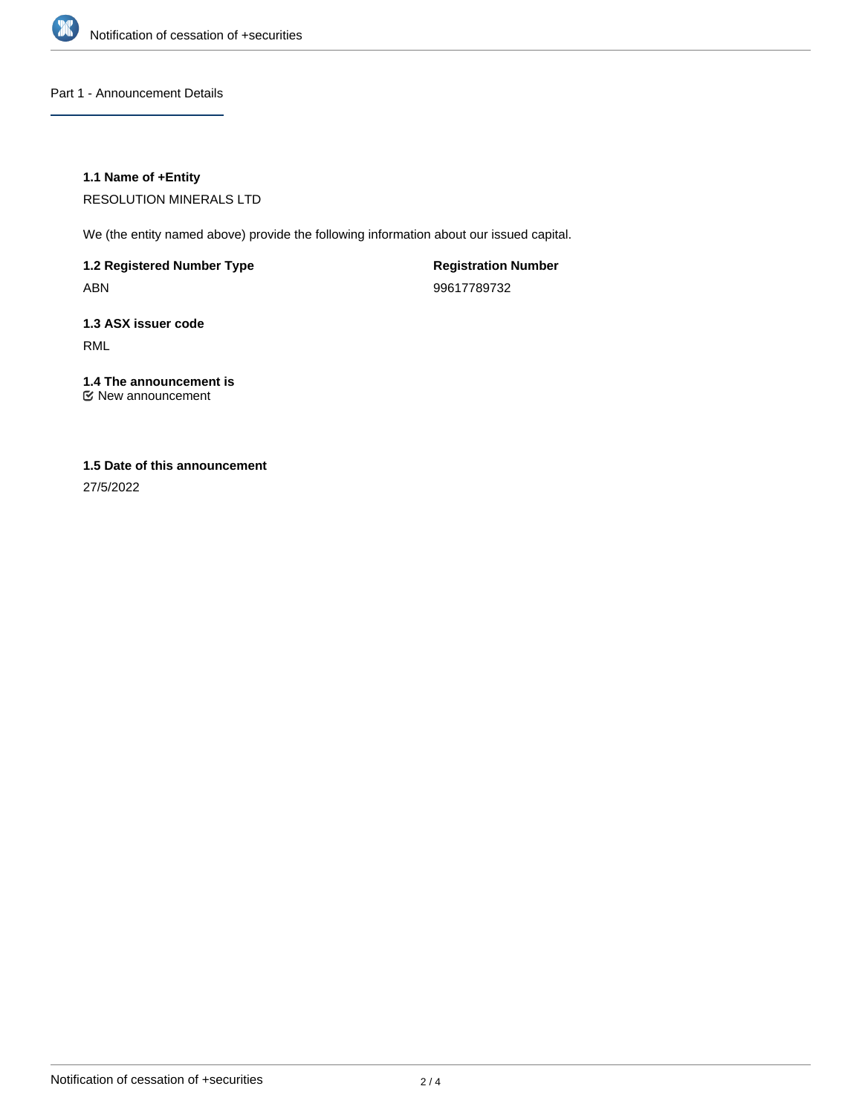

Part 1 - Announcement Details

## **1.1 Name of +Entity**

RESOLUTION MINERALS LTD

We (the entity named above) provide the following information about our issued capital.

**1.2 Registered Number Type** ABN

**Registration Number** 99617789732

**1.3 ASX issuer code** RML

#### **1.4 The announcement is** New announcement

# **1.5 Date of this announcement**

27/5/2022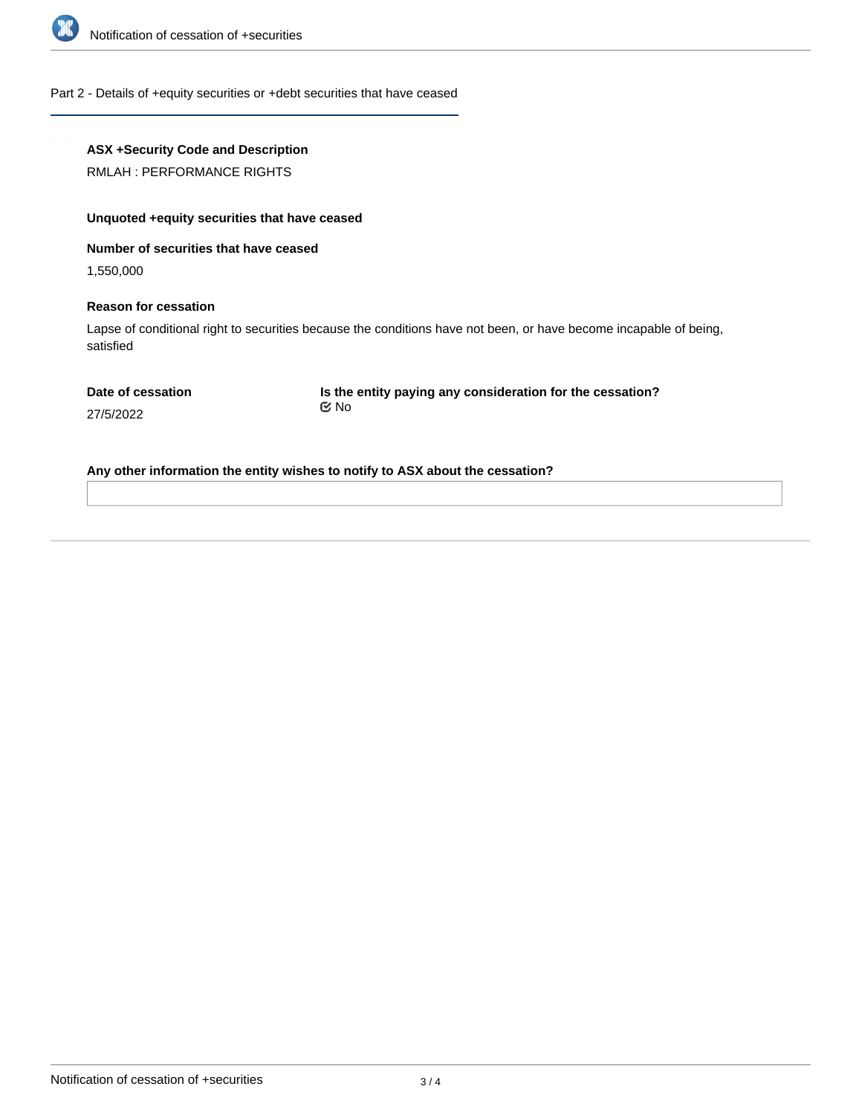

#### Part 2 - Details of +equity securities or +debt securities that have ceased

# **ASX +Security Code and Description**

RMLAH : PERFORMANCE RIGHTS

# **Unquoted +equity securities that have ceased**

#### **Number of securities that have ceased**

1,550,000

#### **Reason for cessation**

Lapse of conditional right to securities because the conditions have not been, or have become incapable of being, satisfied

**Is the entity paying any consideration for the cessation?** No

27/5/2022

**Any other information the entity wishes to notify to ASX about the cessation?**